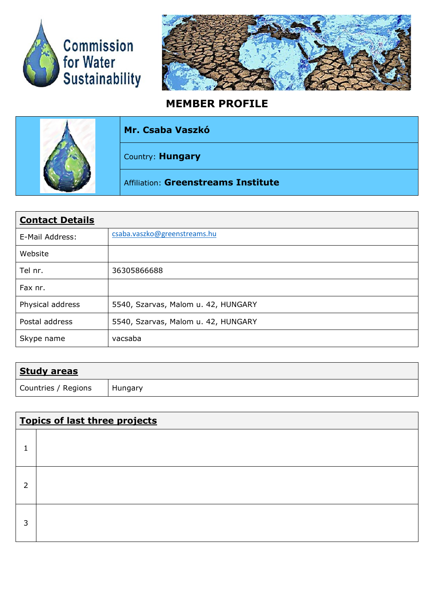



## **MEMBER PROFILE**

| Mr. Csaba Vaszkó                    |
|-------------------------------------|
| Country: Hungary                    |
| Affiliation: Greenstreams Institute |

| <b>Contact Details</b> |                                     |  |  |  |  |  |
|------------------------|-------------------------------------|--|--|--|--|--|
| E-Mail Address:        | csaba.vaszko@greenstreams.hu        |  |  |  |  |  |
| Website                |                                     |  |  |  |  |  |
| Tel nr.                | 36305866688                         |  |  |  |  |  |
| Fax nr.                |                                     |  |  |  |  |  |
| Physical address       | 5540, Szarvas, Malom u. 42, HUNGARY |  |  |  |  |  |
| Postal address         | 5540, Szarvas, Malom u. 42, HUNGARY |  |  |  |  |  |
| Skype name             | vacsaba                             |  |  |  |  |  |

| <b>Study areas</b>  |         |
|---------------------|---------|
| Countries / Regions | Hungary |

| <b>Topics of last three projects</b> |  |  |  |  |
|--------------------------------------|--|--|--|--|
|                                      |  |  |  |  |
| C.                                   |  |  |  |  |
| 3                                    |  |  |  |  |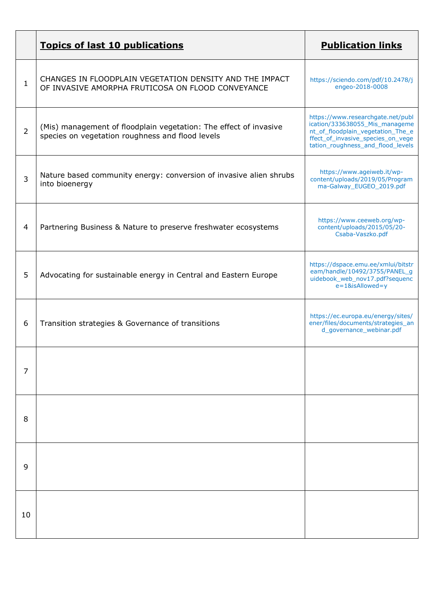|                | <b>Topics of last 10 publications</b>                                                                                 | <b>Publication links</b>                                                                                                                                                           |
|----------------|-----------------------------------------------------------------------------------------------------------------------|------------------------------------------------------------------------------------------------------------------------------------------------------------------------------------|
| $\mathbf{1}$   | CHANGES IN FLOODPLAIN VEGETATION DENSITY AND THE IMPACT<br>OF INVASIVE AMORPHA FRUTICOSA ON FLOOD CONVEYANCE          | https://sciendo.com/pdf/10.2478/j<br>engeo-2018-0008                                                                                                                               |
| $\overline{2}$ | (Mis) management of floodplain vegetation: The effect of invasive<br>species on vegetation roughness and flood levels | https://www.researchgate.net/publ<br>ication/333638055_Mis_manageme<br>nt_of_floodplain_vegetation_The_e<br>ffect_of_invasive_species_on_vege<br>tation_roughness_and_flood_levels |
| 3              | Nature based community energy: conversion of invasive alien shrubs<br>into bioenergy                                  | https://www.ageiweb.it/wp-<br>content/uploads/2019/05/Program<br>ma-Galway_EUGEO_2019.pdf                                                                                          |
| 4              | Partnering Business & Nature to preserve freshwater ecosystems                                                        | https://www.ceeweb.org/wp-<br>content/uploads/2015/05/20-<br>Csaba-Vaszko.pdf                                                                                                      |
| 5              | Advocating for sustainable energy in Central and Eastern Europe                                                       | https://dspace.emu.ee/xmlui/bitstr<br>eam/handle/10492/3755/PANEL_g<br>uidebook_web_nov17.pdf?sequenc<br>e=1&isAllowed=y                                                           |
| 6              | Transition strategies & Governance of transitions                                                                     | https://ec.europa.eu/energy/sites/<br>ener/files/documents/strategies_an<br>d_governance_webinar.pdf                                                                               |
| 7              |                                                                                                                       |                                                                                                                                                                                    |
| 8              |                                                                                                                       |                                                                                                                                                                                    |
| 9              |                                                                                                                       |                                                                                                                                                                                    |
| 10             |                                                                                                                       |                                                                                                                                                                                    |